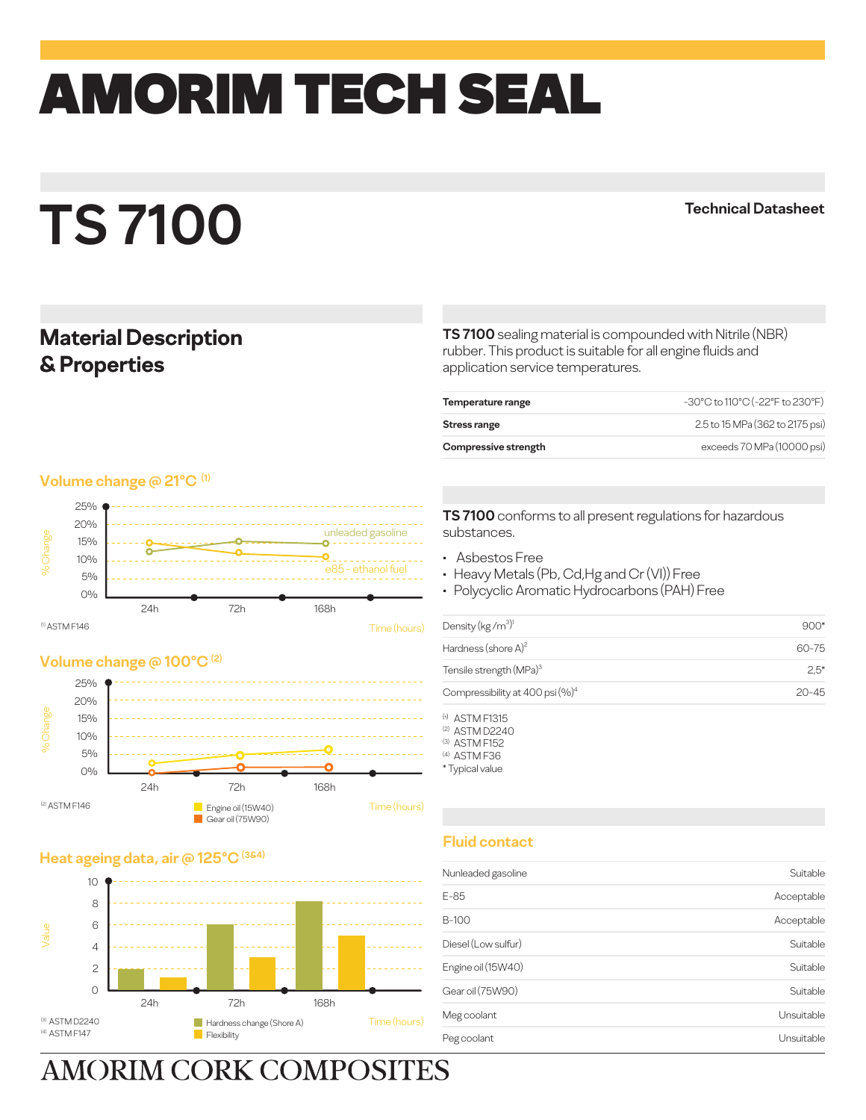## amorim TECH SEAL

# **TS 7100**

**Technical Datasheet**

### **Material Description & Properties**

**Volume change @ 21°C (1)** 



#### **Volume change @ 100°C (2)**



#### **Heat ageing data, air @ 125**



**AMORIM CORK COMPOSITES** 

**TS 7100** sealing material is compounded with Nitrile (NBR) rubber. This product is suitable for all engine fluids and application service temperatures.

| Temperature range    | -30°C to 110°C (-22°F to 230°F) |
|----------------------|---------------------------------|
| Stress range         | 2.5 to 15 MPa (362 to 2175 psi) |
| Compressive strength | exceeds 70 MPa (10000 psi)      |
|                      |                                 |

**TS 7100** conforms to all present regulations for hazardous substances.

- Asbestos Free
- Heavy Metals (Pb, Cd,Hg and Cr (VI)) Free
- Polycyclic Aromatic Hydrocarbons (PAH) Free

| Density (kg/m <sup>3)1</sup>        | 900*      |
|-------------------------------------|-----------|
| Hardness (shore $A$ ) <sup>2</sup>  | 60-75     |
| Tensile strength (MPa) <sup>3</sup> | $2.5^*$   |
| Compressibility at 400 psi $(\%)^4$ | $20 - 45$ |

 $<sup>(t)</sup>$  ASTM F1315</sup> (2) ASTM D2240

- (3) ASTM F152
- (4) ASTM F36
- \* Typical value

#### **Fluid contact**

| Nunleaded gasoline  | Suitable   |
|---------------------|------------|
| E-85                | Acceptable |
| <b>B-100</b>        | Acceptable |
| Diesel (Low sulfur) | Suitable   |
| Engine oil (15W40)  | Suitable   |
| Gear oil (75W90)    | Suitable   |
| Meg coolant         | Unsuitable |
| Peg coolant         | Unsuitable |